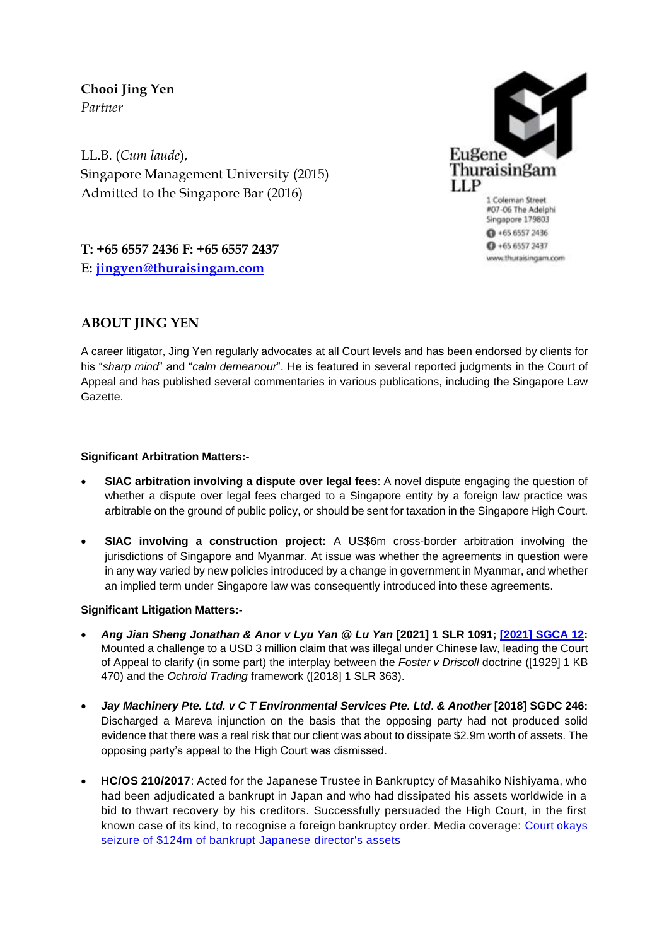**Chooi Jing Yen** *Partner*

LL.B. (*Cum laude*), Singapore Management University (2015) Admitted to the Singapore Bar (2016)



#07-06 The Adelphi Singapore 179803  $0 + 6565572436$  $0 + 6565572437$ www.thuraisingam.com

**T: +65 6557 2436 F: +65 6557 2437 E: [jingyen@thuraisingam.com](mailto:jingyen@thuraisingam.com)**

# **ABOUT JING YEN**

A career litigator, Jing Yen regularly advocates at all Court levels and has been endorsed by clients for his "*sharp mind*" and "*calm demeanour*". He is featured in several reported judgments in the Court of Appeal and has published several commentaries in various publications, including the Singapore Law Gazette.

# **Significant Arbitration Matters:-**

- **SIAC arbitration involving a dispute over legal fees**: A novel dispute engaging the question of whether a dispute over legal fees charged to a Singapore entity by a foreign law practice was arbitrable on the ground of public policy, or should be sent for taxation in the Singapore High Court.
- **SIAC involving a construction project:** A US\$6m cross-border arbitration involving the jurisdictions of Singapore and Myanmar. At issue was whether the agreements in question were in any way varied by new policies introduced by a change in government in Myanmar, and whether an implied term under Singapore law was consequently introduced into these agreements.

# **Significant Litigation Matters:-**

- *Ang Jian Sheng Jonathan & Anor v Lyu Yan @ Lu Yan* **[2021] 1 SLR 1091; [\[2021\] SGCA 12:](https://www.elitigation.sg/gd/s/2021_SGCA_12)**  Mounted a challenge to a USD 3 million claim that was illegal under Chinese law, leading the Court of Appeal to clarify (in some part) the interplay between the *Foster v Driscoll* doctrine ([1929] 1 KB 470) and the *Ochroid Trading* framework ([2018] 1 SLR 363).
- *Jay Machinery Pte. Ltd. v C T Environmental Services Pte. Ltd***.** *& Another* **[2018] SGDC 246:**  Discharged a Mareva injunction on the basis that the opposing party had not produced solid evidence that there was a real risk that our client was about to dissipate \$2.9m worth of assets. The opposing party's appeal to the High Court was dismissed.
- **HC/OS 210/2017**: Acted for the Japanese Trustee in Bankruptcy of Masahiko Nishiyama, who had been adjudicated a bankrupt in Japan and who had dissipated his assets worldwide in a bid to thwart recovery by his creditors. Successfully persuaded the High Court, in the first known case of its kind, to recognise a foreign bankruptcy order. Media coverage: [Court okays](https://www.straitstimes.com/singapore/courts-crime/court-okays-seizure-of-124m-of-bankrupt-japanese-directors-assets)  [seizure of \\$124m of bankrupt Japanese](https://www.straitstimes.com/singapore/courts-crime/court-okays-seizure-of-124m-of-bankrupt-japanese-directors-assets) director's assets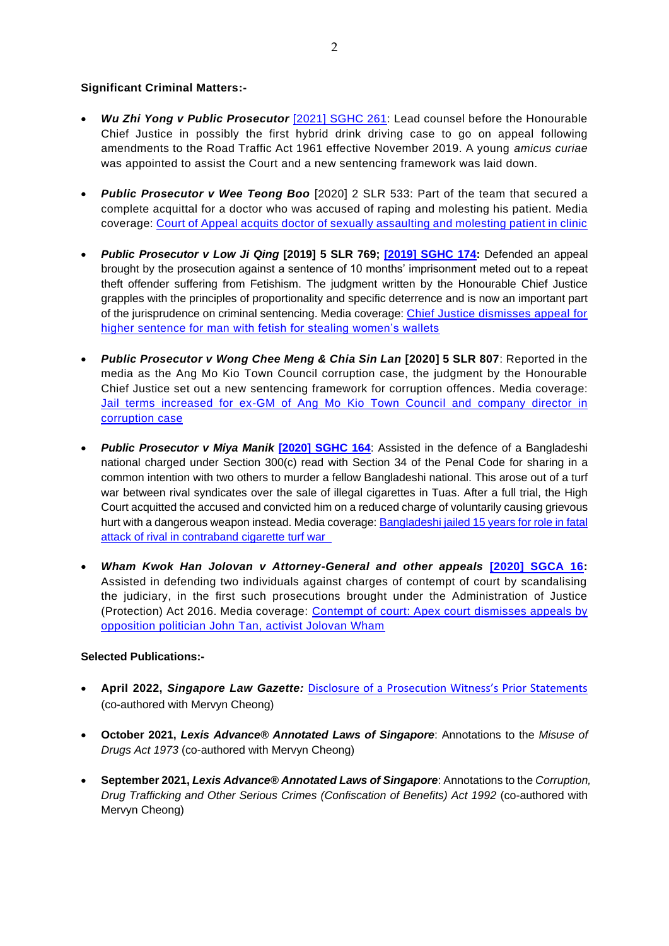## **Significant Criminal Matters:-**

- *Wu Zhi Yong v Public Prosecutor* [\[2021\] SGHC 261:](https://www.elitigation.sg/gdviewer/s/2021_SGHC_261) Lead counsel before the Honourable Chief Justice in possibly the first hybrid drink driving case to go on appeal following amendments to the Road Traffic Act 1961 effective November 2019. A young *amicus curiae* was appointed to assist the Court and a new sentencing framework was laid down.
- *Public Prosecutor v Wee Teong Boo* [2020] 2 SLR 533: Part of the team that secured a complete acquittal for a doctor who was accused of raping and molesting his patient. Media coverage: [Court of Appeal acquits doctor of sexually assaulting and molesting patient in clinic](https://www.todayonline.com/singapore/court-appeal-acquits-doctor-sexually-assaulting-and-molesting-patient-clinic)
- *Public Prosecutor v Low Ji Qing* **[2019] 5 SLR 769; [\[2019\] SGHC 174:](https://www.supremecourt.gov.sg/docs/default-source/module-document/judgement/grounds-of-decision---public-prosecutor-v-low-ji-qing-(260719)-2019-sghc-174-(260719)-pdf.pdf)** Defended an appeal brought by the prosecution against a sentence of 10 months' imprisonment meted out to a repeat theft offender suffering from Fetishism. The judgment written by the Honourable Chief Justice grapples with the principles of proportionality and specific deterrence and is now an important part of the jurisprudence on criminal sentencing. Media coverage: [Chief Justice dismisses appeal for](https://www.channelnewsasia.com/news/singapore/chief-justice-dismisses-appeal-for-higher-sentence-for-man-with-11457726)  [higher sentence for man with fetish for stealing women's wallets](https://www.channelnewsasia.com/news/singapore/chief-justice-dismisses-appeal-for-higher-sentence-for-man-with-11457726)
- *Public Prosecutor v Wong Chee Meng & Chia Sin Lan* **[2020] 5 SLR 807**: Reported in the media as the Ang Mo Kio Town Council corruption case, the judgment by the Honourable Chief Justice set out a new sentencing framework for corruption offences. Media coverage: Jail terms increased for ex-GM of Ang Mo Kio Town Council and company director in [corruption case](https://www.straitstimes.com/singapore/courts-crime/jail-terms-increased-for-ex-gm-of-ang-mo-kio-town-council-and-company)
- **Public Prosecutor v Miya Manik <sup>[2020]</sup> SGHC 164:** Assisted in the defence of a Bangladeshi national charged under Section 300(c) read with Section 34 of the Penal Code for sharing in a common intention with two others to murder a fellow Bangladeshi national. This arose out of a turf war between rival syndicates over the sale of illegal cigarettes in Tuas. After a full trial, the High Court acquitted the accused and convicted him on a reduced charge of voluntarily causing grievous hurt with a dangerous weapon instead. Media coverage: Bangladeshi jailed 15 years for role in fatal [attack of rival in contraband cigarette turf war](https://www.straitstimes.com/singapore/courts-crime/bangladeshi-jailed-15-years-for-role-in-fatal-attack-of-rival-in-contraband)
- *Wham Kwok Han Jolovan v Attorney-General and other appeals* **[\[2020\] SGCA 16:](https://www.supremecourt.gov.sg/docs/default-source/module-document/judgement/-2020-sgca-16-pdf.pdf)**  Assisted in defending two individuals against charges of contempt of court by scandalising the judiciary, in the first such prosecutions brought under the Administration of Justice (Protection) Act 2016. Media coverage: [Contempt of court: Apex court](https://www.channelnewsasia.com/news/singapore/contempt-of-court-apex-court-dismisses-appeals-by-opposition-12542478) dismisses appeals by [opposition politician John Tan, activist Jolovan Wham](https://www.channelnewsasia.com/news/singapore/contempt-of-court-apex-court-dismisses-appeals-by-opposition-12542478)

### **Selected Publications:-**

- **April 2022,** *Singapore Law Gazette:* [Disclosure of a Prosecution Witness's Prior Statements](https://lawgazette.com.sg/feature/disclosure-of-a-prosecution-witnesss-prior-statements) (co-authored with Mervyn Cheong)
- **October 2021,** *Lexis Advance® Annotated Laws of Singapore*: Annotations to the *Misuse of Drugs Act 1973* (co-authored with Mervyn Cheong)
- **September 2021,** *Lexis Advance® Annotated Laws of Singapore*: Annotations to the *Corruption, Drug Trafficking and Other Serious Crimes (Confiscation of Benefits) Act 1992* (co-authored with Mervyn Cheong)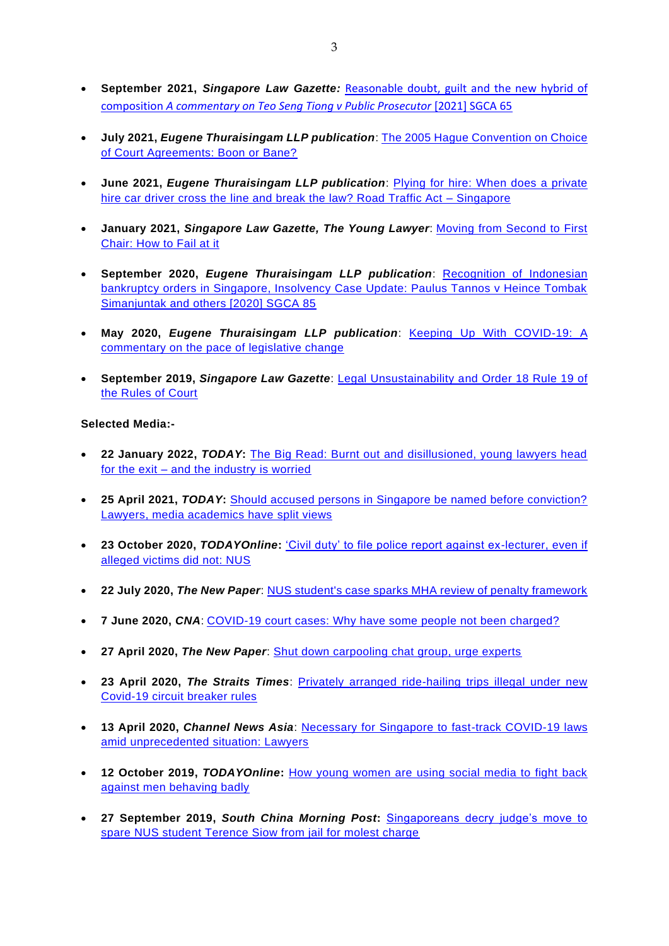- **September 2021,** *Singapore Law Gazette:* [Reasonable doubt, guilt and the new hybrid of](https://lawgazette.com.sg/feature/reasonable-doubt-guilt-and-the-new-hybrid-of-composition/)  composition *[A commentary on Teo Seng Tiong v Public Prosecutor](https://lawgazette.com.sg/feature/reasonable-doubt-guilt-and-the-new-hybrid-of-composition/)* [2021] SGCA 65
- **July 2021,** *Eugene Thuraisingam LLP publication*: [The 2005 Hague Convention on Choice](https://thuraisingam.com/resources/the-2005-hague-convention-on-choice-of-court-agreements-boon-or-bane)  [of Court Agreements: Boon or Bane?](https://thuraisingam.com/resources/the-2005-hague-convention-on-choice-of-court-agreements-boon-or-bane)
- **June 2021,** *Eugene Thuraisingam LLP publication*: [Plying for hire: When does a private](https://thuraisingam.com/resources/plying-for-hire-when-does-a-private-hire-car-driver-cross-the-line-and-break-the-law-road-traffic-act-singapore)  [hire car driver cross the line and break the law? Road Traffic Act –](https://thuraisingam.com/resources/plying-for-hire-when-does-a-private-hire-car-driver-cross-the-line-and-break-the-law-road-traffic-act-singapore) Singapore
- **January 2021,** *Singapore Law Gazette, The Young Lawyer*: [Moving from Second to First](https://lawgazette.com.sg/practice/the-young-lawyer/moving-from-second-to-first-chair-how-to-fail-at-it/)  [Chair: How to Fail at it](https://lawgazette.com.sg/practice/the-young-lawyer/moving-from-second-to-first-chair-how-to-fail-at-it/)
- **September 2020,** *Eugene Thuraisingam LLP publication*: [Recognition of Indonesian](https://thuraisingam.com/resources/recognition-of-indonesian-bankruptcy-orders-in-singapore)  [bankruptcy orders in Singapore, Insolvency Case Update: Paulus Tannos v Heince Tombak](https://thuraisingam.com/resources/recognition-of-indonesian-bankruptcy-orders-in-singapore)  [Simanjuntak and others \[2020\] SGCA 85](https://thuraisingam.com/resources/recognition-of-indonesian-bankruptcy-orders-in-singapore)
- **May 2020,** *Eugene Thuraisingam LLP publication*: [Keeping Up With COVID-19: A](https://thuraisingam.com/resources/keeping-up-with-covid-19)  [commentary on the pace of legislative change](https://thuraisingam.com/resources/keeping-up-with-covid-19)
- **September 2019,** *Singapore Law Gazette*: [Legal Unsustainability and Order 18 Rule 19 of](https://lawgazette.com.sg/feature/legal-unsustainability-and-order-18-rule-19-of-the-rules-of-court/)  [the Rules of Court](https://lawgazette.com.sg/feature/legal-unsustainability-and-order-18-rule-19-of-the-rules-of-court/)

### **Selected Media:-**

- **22 January 2022,** *TODAY***:** [The Big Read: Burnt out and disillusioned, young lawyers head](https://www.todayonline.com/big-read/big-read-burnt-out-and-disillusioned-young-lawyers-head-exit-and-industry-worried-1796126)  for the exit – [and the industry is worried](https://www.todayonline.com/big-read/big-read-burnt-out-and-disillusioned-young-lawyers-head-exit-and-industry-worried-1796126)
- **25 April 2021,** *TODAY***:** [Should accused persons in Singapore be named before conviction?](https://www.todayonline.com/singapore/should-accused-persons-singapore-be-named-conviction-lawyers-media-academics-have-split)  [Lawyers, media academics have split views](https://www.todayonline.com/singapore/should-accused-persons-singapore-be-named-conviction-lawyers-media-academics-have-split)
- **23 October 2020,** *TODAYOnline***:** ['Civil duty' to file police report against ex-lecturer, even if](https://www.todayonline.com/singapore/civil-duty-make-make-police-report-against-ex-lecturer-even-if-alleged-victims-did-not-nus?fbclid=IwAR3R008pRH9Mv0wxG_MFlvn5hRF1wNvM7bpLIsNtAFYSk9Em1R4cbp5w5CE)  [alleged victims did not: NUS](https://www.todayonline.com/singapore/civil-duty-make-make-police-report-against-ex-lecturer-even-if-alleged-victims-did-not-nus?fbclid=IwAR3R008pRH9Mv0wxG_MFlvn5hRF1wNvM7bpLIsNtAFYSk9Em1R4cbp5w5CE)
- **22 July 2020,** *The New Paper*: [NUS student's case sparks MHA review of penalty framework](https://www.tnp.sg/news/singapore/nus-students-case-sparks-mha-review-penalty-framework)
- **7 June 2020,** *CNA*: [COVID-19 court cases: Why have some people not been charged?](https://www.channelnewsasia.com/news/singapore/covid-19-coronavirus-why-some-people-not-charged-court-12811008)
- **27 April 2020,** *The New Paper*: [Shut down carpooling chat group, urge experts](https://www.tnp.sg/news/singapore/shut-down-carpooling-chat-group-urge-experts)
- **23 April 2020,** *The Straits Times*: [Privately arranged ride-hailing trips illegal under new](https://www.straitstimes.com/singapore/privately-arranged-ride-hailing-trips-illegal-under-new-rules)  [Covid-19 circuit breaker rules](https://www.straitstimes.com/singapore/privately-arranged-ride-hailing-trips-illegal-under-new-rules)
- **13 April 2020,** *Channel News Asia*: [Necessary for Singapore to fast-track COVID-19 laws](https://www.channelnewsasia.com/news/singapore/singapore-fast-tracks-covid-19-laws-unprecedented-situation-12634060)  [amid unprecedented situation: Lawyers](https://www.channelnewsasia.com/news/singapore/singapore-fast-tracks-covid-19-laws-unprecedented-situation-12634060)
- **12 October 2019,** *TODAYOnline***:** [How young women are using social media to fight back](https://www.todayonline.com/singapore/how-young-women-are-using-social-media-fight-back-against-men-behaving-badly)  [against men behaving badly](https://www.todayonline.com/singapore/how-young-women-are-using-social-media-fight-back-against-men-behaving-badly)
- **27 September 2019,** *South China Morning Post***:** [Singaporeans decry judge's move to](https://www.scmp.com/week-asia/politics/article/3030712/singaporeans-decry-judges-decision-spare-nus-student-jail-term)  [spare NUS student Terence Siow from jail for molest charge](https://www.scmp.com/week-asia/politics/article/3030712/singaporeans-decry-judges-decision-spare-nus-student-jail-term)